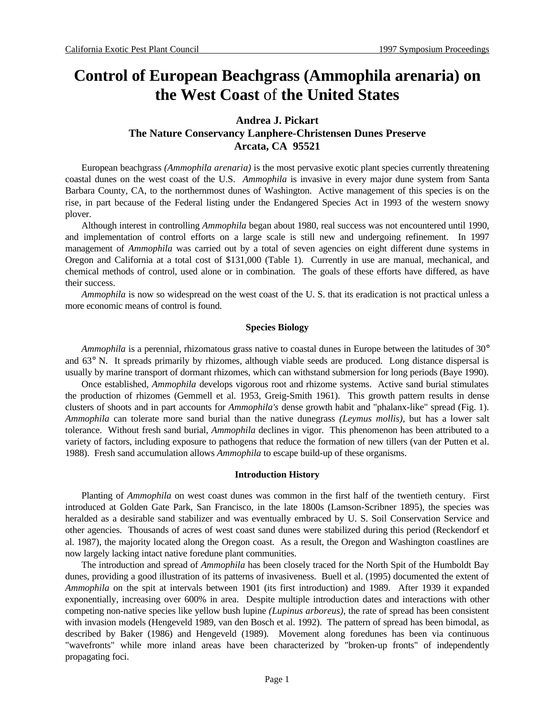# **Control of European Beachgrass (Ammophila arenaria) on the West Coast** of **the United States**

# **Andrea J. Pickart The Nature Conservancy Lanphere-Christensen Dunes Preserve Arcata, CA 95521**

European beachgrass *(Ammophila arenaria)* is the most pervasive exotic plant species currently threatening coastal dunes on the west coast of the U.S. *Ammophila* is invasive in every major dune system from Santa Barbara County, CA, to the northernmost dunes of Washington. Active management of this species is on the rise, in part because of the Federal listing under the Endangered Species Act in 1993 of the western snowy plover.

Although interest in controlling *Ammophila* began about 1980, real success was not encountered until 1990, and implementation of control efforts on a large scale is still new and undergoing refinement. In 1997 management of *Ammophila* was carried out by a total of seven agencies on eight different dune systems in Oregon and California at a total cost of \$131,000 (Table 1). Currently in use are manual, mechanical, and chemical methods of control, used alone or in combination. The goals of these efforts have differed, as have their success.

*Ammophila* is now so widespread on the west coast of the U. S. that its eradication is not practical unless a more economic means of control is found.

# **Species Biology**

*Ammophila* is a perennial, rhizomatous grass native to coastal dunes in Europe between the latitudes of 30° and 63° N. It spreads primarily by rhizomes, although viable seeds are produced. Long distance dispersal is usually by marine transport of dormant rhizomes, which can withstand submersion for long periods (Baye 1990).

Once established, *Ammophila* develops vigorous root and rhizome systems. Active sand burial stimulates the production of rhizomes (Gemmell et al. 1953, Greig-Smith 1961). This growth pattern results in dense clusters of shoots and in part accounts for *Ammophila's* dense growth habit and "phalanx-like" spread (Fig. 1). *Ammophila* can tolerate more sand burial than the native dunegrass *(Leymus mollis),* but has a lower salt tolerance. Without fresh sand burial, *Ammophila* declines in vigor. This phenomenon has been attributed to a variety of factors, including exposure to pathogens that reduce the formation of new tillers (van der Putten et al. 1988). Fresh sand accumulation allows *Ammophila* to escape build-up of these organisms.

#### **Introduction History**

Planting of *Ammophila* on west coast dunes was common in the first half of the twentieth century. First introduced at Golden Gate Park, San Francisco, in the late 1800s (Lamson-Scribner 1895), the species was heralded as a desirable sand stabilizer and was eventually embraced by U. S. Soil Conservation Service and other agencies. Thousands of acres of west coast sand dunes were stabilized during this period (Reckendorf et al. 1987), the majority located along the Oregon coast. As a result, the Oregon and Washington coastlines are now largely lacking intact native foredune plant communities.

The introduction and spread of *Ammophila* has been closely traced for the North Spit of the Humboldt Bay dunes, providing a good illustration of its patterns of invasiveness. Buell et al. (1995) documented the extent of *Ammophila* on the spit at intervals between 1901 (its first introduction) and 1989. After 1939 it expanded exponentially, increasing over 600% in area. Despite multiple introduction dates and interactions with other competing non-native species like yellow bush lupine *(Lupinus arboreus),* the rate of spread has been consistent with invasion models (Hengeveld 1989, van den Bosch et al. 1992). The pattern of spread has been bimodal, as described by Baker (1986) and Hengeveld (1989). Movement along foredunes has been via continuous "wavefronts" while more inland areas have been characterized by "broken-up fronts" of independently propagating foci.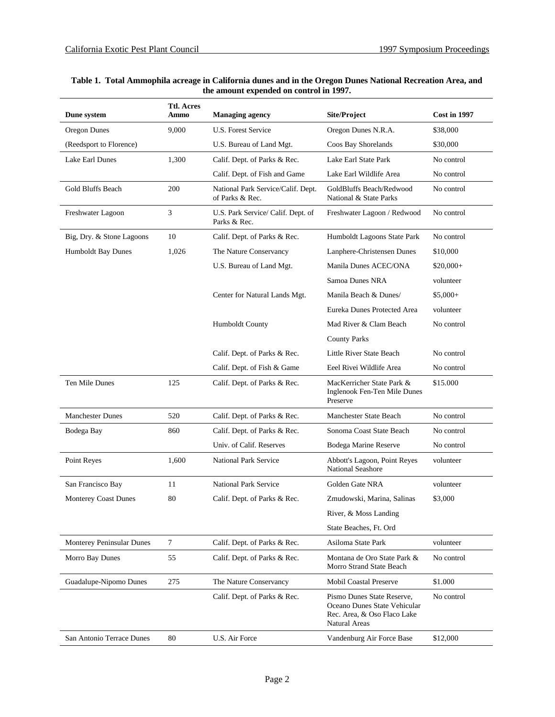| Dune system               | <b>Ttl. Acres</b><br>Ammo | <b>Managing agency</b>                                | <b>Site/Project</b>                                                                                               | <b>Cost in 1997</b> |
|---------------------------|---------------------------|-------------------------------------------------------|-------------------------------------------------------------------------------------------------------------------|---------------------|
| Oregon Dunes              | 9,000                     | U.S. Forest Service                                   | Oregon Dunes N.R.A.                                                                                               | \$38,000            |
| (Reedsport to Florence)   |                           | U.S. Bureau of Land Mgt.                              | Coos Bay Shorelands                                                                                               | \$30,000            |
| Lake Earl Dunes           | 1,300                     | Calif. Dept. of Parks & Rec.                          | Lake Earl State Park                                                                                              | No control          |
|                           |                           | Calif. Dept. of Fish and Game                         | Lake Earl Wildlife Area                                                                                           | No control          |
| Gold Bluffs Beach         | 200                       | National Park Service/Calif. Dept.<br>of Parks & Rec. | GoldBluffs Beach/Redwood<br>National & State Parks                                                                | No control          |
| Freshwater Lagoon         | 3                         | U.S. Park Service/ Calif. Dept. of<br>Parks & Rec.    | Freshwater Lagoon / Redwood                                                                                       | No control          |
| Big, Dry. & Stone Lagoons | 10                        | Calif. Dept. of Parks & Rec.                          | Humboldt Lagoons State Park                                                                                       | No control          |
| Humboldt Bay Dunes        | 1,026                     | The Nature Conservancy                                | Lanphere-Christensen Dunes                                                                                        | \$10,000            |
|                           |                           | U.S. Bureau of Land Mgt.                              | Manila Dunes ACEC/ONA                                                                                             | $$20,000+$          |
|                           |                           |                                                       | Samoa Dunes NRA                                                                                                   | volunteer           |
|                           |                           | Center for Natural Lands Mgt.                         | Manila Beach & Dunes/                                                                                             | $$5,000+$           |
|                           |                           |                                                       | Eureka Dunes Protected Area                                                                                       | volunteer           |
|                           |                           | Humboldt County                                       | Mad River & Clam Beach                                                                                            | No control          |
|                           |                           |                                                       | <b>County Parks</b>                                                                                               |                     |
|                           |                           | Calif. Dept. of Parks & Rec.                          | Little River State Beach                                                                                          | No control          |
|                           |                           | Calif. Dept. of Fish & Game                           | Eeel Rivei Wildlife Area                                                                                          | No control          |
| Ten Mile Dunes            | 125                       | Calif. Dept. of Parks & Rec.                          | MacKerricher State Park &<br>Inglenook Fen-Ten Mile Dunes<br>Preserve                                             | \$15.000            |
| <b>Manchester Dunes</b>   | 520                       | Calif. Dept. of Parks & Rec.                          | Manchester State Beach                                                                                            | No control          |
| Bodega Bay                | 860                       | Calif. Dept. of Parks & Rec.                          | Sonoma Coast State Beach                                                                                          | No control          |
|                           |                           | Univ. of Calif. Reserves                              | Bodega Marine Reserve                                                                                             | No control          |
| Point Reyes               | 1,600                     | <b>National Park Service</b>                          | Abbott's Lagoon, Point Reyes<br><b>National Seashore</b>                                                          | volunteer           |
| San Francisco Bay         | 11                        | <b>National Park Service</b>                          | Golden Gate NRA                                                                                                   | volunteer           |
| Monterey Coast Dunes      | 80                        | Calif. Dept. of Parks & Rec.                          | Zmudowski, Marina, Salinas                                                                                        | \$3,000             |
|                           |                           |                                                       | River, & Moss Landing                                                                                             |                     |
|                           |                           |                                                       | State Beaches, Ft. Ord                                                                                            |                     |
| Monterey Peninsular Dunes | $\tau$                    | Calif. Dept. of Parks & Rec.                          | Asiloma State Park                                                                                                | volunteer           |
| Morro Bay Dunes           | 55                        | Calif. Dept. of Parks & Rec.                          | Montana de Oro State Park &<br>Morro Strand State Beach                                                           | No control          |
| Guadalupe-Nipomo Dunes    | 275                       | The Nature Conservancy                                | <b>Mobil Coastal Preserve</b>                                                                                     | \$1.000             |
|                           |                           | Calif. Dept. of Parks & Rec.                          | Pismo Dunes State Reserve,<br>Oceano Dunes State Vehicular<br>Rec. Area, & Oso Flaco Lake<br><b>Natural Areas</b> | No control          |
| San Antonio Terrace Dunes | 80                        | U.S. Air Force                                        | Vandenburg Air Force Base                                                                                         | \$12,000            |

## **Table 1. Total Ammophila acreage in California dunes and in the Oregon Dunes National Recreation Area, and the amount expended on control in 1997.**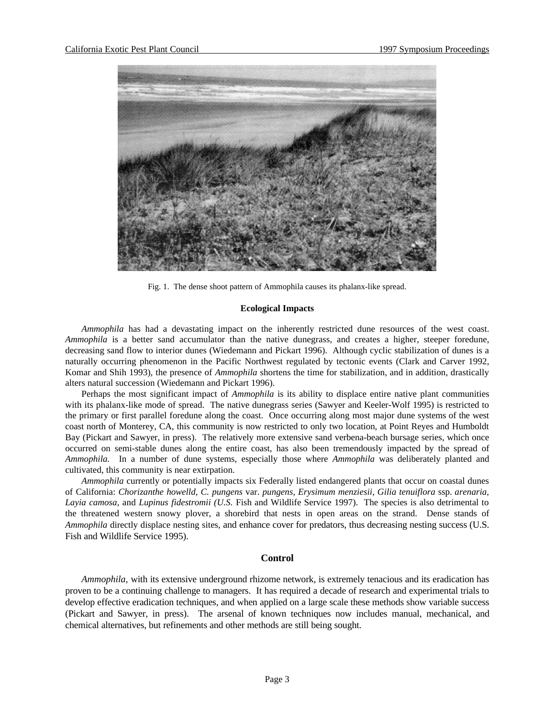

Fig. 1. The dense shoot pattern of Ammophila causes its phalanx-like spread.

## **Ecological Impacts**

*Ammophila* has had a devastating impact on the inherently restricted dune resources of the west coast. *Ammophila* is a better sand accumulator than the native dunegrass, and creates a higher, steeper foredune, decreasing sand flow to interior dunes (Wiedemann and Pickart 1996). Although cyclic stabilization of dunes is a naturally occurring phenomenon in the Pacific Northwest regulated by tectonic events (Clark and Carver 1992, Komar and Shih 1993), the presence of *Ammophila* shortens the time for stabilization, and in addition, drastically alters natural succession (Wiedemann and Pickart 1996).

Perhaps the most significant impact of *Ammophila* is its ability to displace entire native plant communities with its phalanx-like mode of spread. The native dunegrass series (Sawyer and Keeler-Wolf 1995) is restricted to the primary or first parallel foredune along the coast. Once occurring along most major dune systems of the west coast north of Monterey, CA, this community is now restricted to only two location, at Point Reyes and Humboldt Bay (Pickart and Sawyer, in press). The relatively more extensive sand verbena-beach bursage series, which once occurred on semi-stable dunes along the entire coast, has also been tremendously impacted by the spread of *Ammophila.* In a number of dune systems, especially those where *Ammophila* was deliberately planted and cultivated, this community is near extirpation.

*Ammophila* currently or potentially impacts six Federally listed endangered plants that occur on coastal dunes of California: *Chorizanthe howelld, C. pungens* var. *pungens, Erysimum menziesii, Gilia tenuiflora* ssp. *arenaria, Layia camosa,* and *Lupinus fidestromii (U.S.* Fish and Wildlife Service 1997). The species is also detrimental to the threatened western snowy plover, a shorebird that nests in open areas on the strand. Dense stands of *Ammophila* directly displace nesting sites, and enhance cover for predators, thus decreasing nesting success (U.S. Fish and Wildlife Service 1995).

# **Control**

*Ammophila,* with its extensive underground rhizome network, is extremely tenacious and its eradication has proven to be a continuing challenge to managers. It has required a decade of research and experimental trials to develop effective eradication techniques, and when applied on a large scale these methods show variable success (Pickart and Sawyer, in press). The arsenal of known techniques now includes manual, mechanical, and chemical alternatives, but refinements and other methods are still being sought.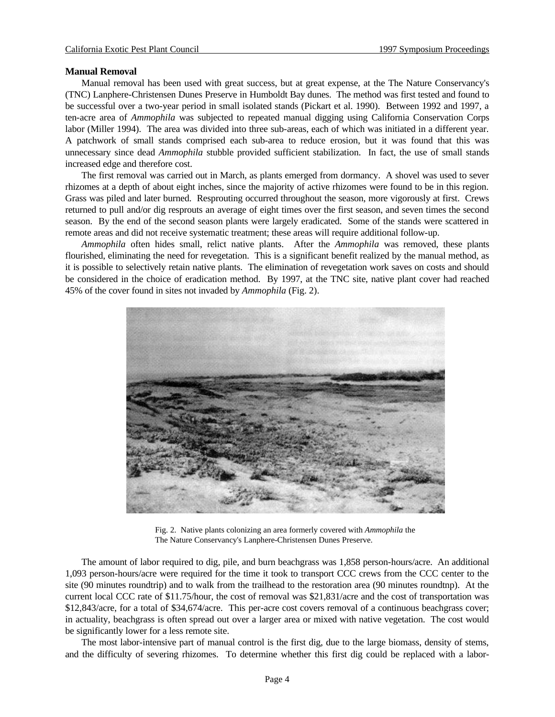#### **Manual Removal**

Manual removal has been used with great success, but at great expense, at the The Nature Conservancy's (TNC) Lanphere-Christensen Dunes Preserve in Humboldt Bay dunes. The method was first tested and found to be successful over a two-year period in small isolated stands (Pickart et al. 1990). Between 1992 and 1997, a ten-acre area of *Ammophila* was subjected to repeated manual digging using California Conservation Corps labor (Miller 1994). The area was divided into three sub-areas, each of which was initiated in a different year. A patchwork of small stands comprised each sub-area to reduce erosion, but it was found that this was unnecessary since dead *Ammophila* stubble provided sufficient stabilization. In fact, the use of small stands increased edge and therefore cost.

The first removal was carried out in March, as plants emerged from dormancy. A shovel was used to sever rhizomes at a depth of about eight inches, since the majority of active rhizomes were found to be in this region. Grass was piled and later burned. Resprouting occurred throughout the season, more vigorously at first. Crews returned to pull and/or dig resprouts an average of eight times over the first season, and seven times the second season. By the end of the second season plants were largely eradicated. Some of the stands were scattered in remote areas and did not receive systematic treatment; these areas will require additional follow-up.

*Ammophila* often hides small, relict native plants. After the *Ammophila* was removed, these plants flourished, eliminating the need for revegetation. This is a significant benefit realized by the manual method, as it is possible to selectively retain native plants. The elimination of revegetation work saves on costs and should be considered in the choice of eradication method. By 1997, at the TNC site, native plant cover had reached 45% of the cover found in sites not invaded by *Ammophila* (Fig. 2).



Fig. 2. Native plants colonizing an area formerly covered with *Ammophila* the The Nature Conservancy's Lanphere-Christensen Dunes Preserve.

The amount of labor required to dig, pile, and burn beachgrass was 1,858 person-hours/acre. An additional 1,093 person-hours/acre were required for the time it took to transport CCC crews from the CCC center to the site (90 minutes roundtrip) and to walk from the trailhead to the restoration area (90 minutes roundtnp). At the current local CCC rate of \$11.75/hour, the cost of removal was \$21,831/acre and the cost of transportation was \$12,843/acre, for a total of \$34,674/acre. This per-acre cost covers removal of a continuous beachgrass cover; in actuality, beachgrass is often spread out over a larger area or mixed with native vegetation. The cost would be significantly lower for a less remote site.

The most labor-intensive part of manual control is the first dig, due to the large biomass, density of stems, and the difficulty of severing rhizomes. To determine whether this first dig could be replaced with a labor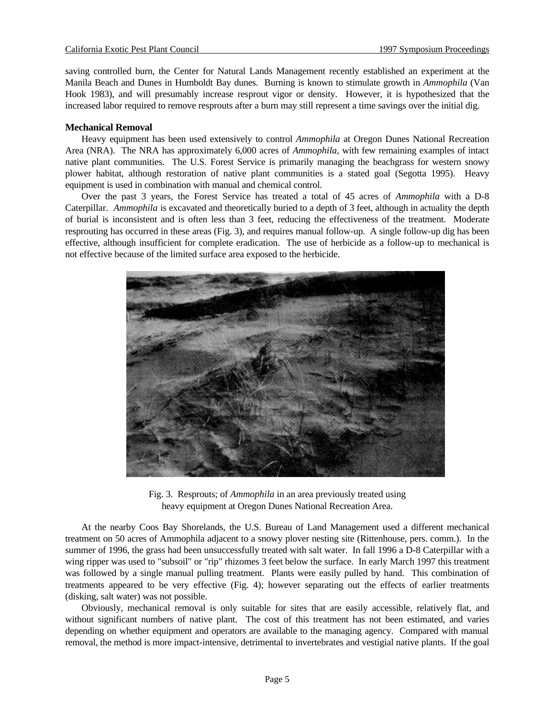saving controlled burn, the Center for Natural Lands Management recently established an experiment at the Manila Beach and Dunes in Humboldt Bay dunes. Burning is known to stimulate growth in *Ammophila* (Van Hook 1983), and will presumably increase resprout vigor or density. However, it is hypothesized that the increased labor required to remove resprouts after a burn may still represent a time savings over the initial dig.

# **Mechanical Removal**

Heavy equipment has been used extensively to control *Ammophila* at Oregon Dunes National Recreation Area (NRA). The NRA has approximately 6,000 acres of *Ammophila,* with few remaining examples of intact native plant communities. The U.S. Forest Service is primarily managing the beachgrass for western snowy plower habitat, although restoration of native plant communities is a stated goal (Segotta 1995). Heavy equipment is used in combination with manual and chemical control.

Over the past 3 years, the Forest Service has treated a total of 45 acres of *Ammophila* with a D-8 Caterpillar. *Ammophila* is excavated and theoretically buried to a depth of 3 feet, although in actuality the depth of burial is inconsistent and is often less than 3 feet, reducing the effectiveness of the treatment. Moderate resprouting has occurred in these areas (Fig. 3), and requires manual follow-up. A single follow-up dig has been effective, although insufficient for complete eradication. The use of herbicide as a follow-up to mechanical is not effective because of the limited surface area exposed to the herbicide.



Fig. 3. Resprouts; of *Ammophila* in an area previously treated using heavy equipment at Oregon Dunes National Recreation Area.

At the nearby Coos Bay Shorelands, the U.S. Bureau of Land Management used a different mechanical treatment on 50 acres of Ammophila adjacent to a snowy plover nesting site (Rittenhouse, pers. comm.). In the summer of 1996, the grass had been unsuccessfully treated with salt water. In fall 1996 a D-8 Caterpillar with a wing ripper was used to "subsoil" or "rip" rhizomes 3 feet below the surface. In early March 1997 this treatment was followed by a single manual pulling treatment. Plants were easily pulled by hand. This combination of treatments appeared to be very effective (Fig. 4); however separating out the effects of earlier treatments (disking, salt water) was not possible.

Obviously, mechanical removal is only suitable for sites that are easily accessible, relatively flat, and without significant numbers of native plant. The cost of this treatment has not been estimated, and varies depending on whether equipment and operators are available to the managing agency. Compared with manual removal, the method is more impact-intensive, detrimental to invertebrates and vestigial native plants. If the goal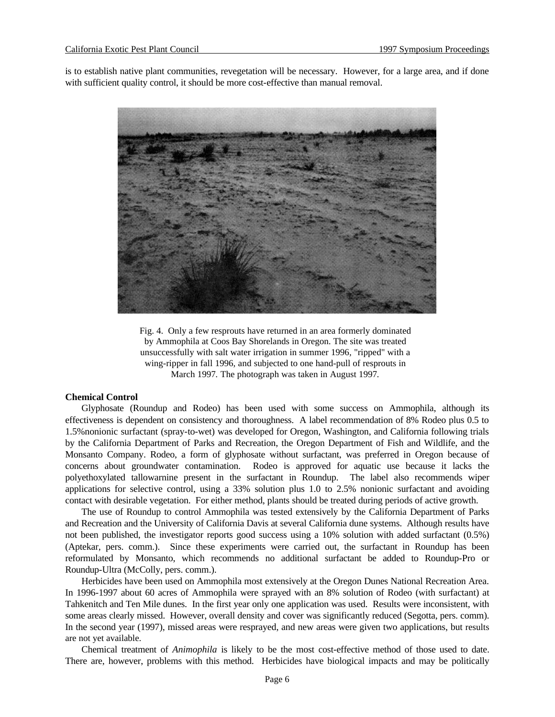is to establish native plant communities, revegetation will be necessary. However, for a large area, and if done with sufficient quality control, it should be more cost-effective than manual removal.



Fig. 4. Only a few resprouts have returned in an area formerly dominated by Ammophila at Coos Bay Shorelands in Oregon. The site was treated unsuccessfully with salt water irrigation in summer 1996*,* "ripped" with a wing-ripper in fall 1996*,* and subjected to one hand-pull of resprouts in March 1997*.* The photograph was taken in August 1997*.*

## **Chemical Control**

Glyphosate (Roundup and Rodeo) has been used with some success on Ammophila, although its effectiveness is dependent on consistency and thoroughness. A label recommendation of 8% Rodeo plus 0.5 to 1.5%nonionic surfactant (spray-to-wet) was developed for Oregon, Washington, and California following trials by the California Department of Parks and Recreation, the Oregon Department of Fish and Wildlife, and the Monsanto Company. Rodeo, a form of glyphosate without surfactant, was preferred in Oregon because of concerns about groundwater contamination. Rodeo is approved for aquatic use because it lacks the polyethoxylated tallowarnine present in the surfactant in Roundup. The label also recommends wiper applications for selective control, using a 33% solution plus 1.0 to 2.5% nonionic surfactant and avoiding contact with desirable vegetation. For either method, plants should be treated during periods of active growth.

The use of Roundup to control Ammophila was tested extensively by the California Department of Parks and Recreation and the University of California Davis at several California dune systems. Although results have not been published, the investigator reports good success using a 10% solution with added surfactant (0.5%) (Aptekar, pers. comm.). Since these experiments were carried out, the surfactant in Roundup has been reformulated by Monsanto, which recommends no additional surfactant be added to Roundup-Pro or Roundup-Ultra (McColly, pers. comm.).

Herbicides have been used on Ammophila most extensively at the Oregon Dunes National Recreation Area. In 1996-1997 about 60 acres of Ammophila were sprayed with an 8% solution of Rodeo (with surfactant) at Tahkenitch and Ten Mile dunes. In the first year only one application was used. Results were inconsistent, with some areas clearly missed. However, overall density and cover was significantly reduced (Segotta, pers. comm). In the second year (1997), missed areas were resprayed, and new areas were given two applications, but results are not yet available.

Chemical treatment of *Animophila* is likely to be the most cost-effective method of those used to date. There are, however, problems with this method. Herbicides have biological impacts and may be politically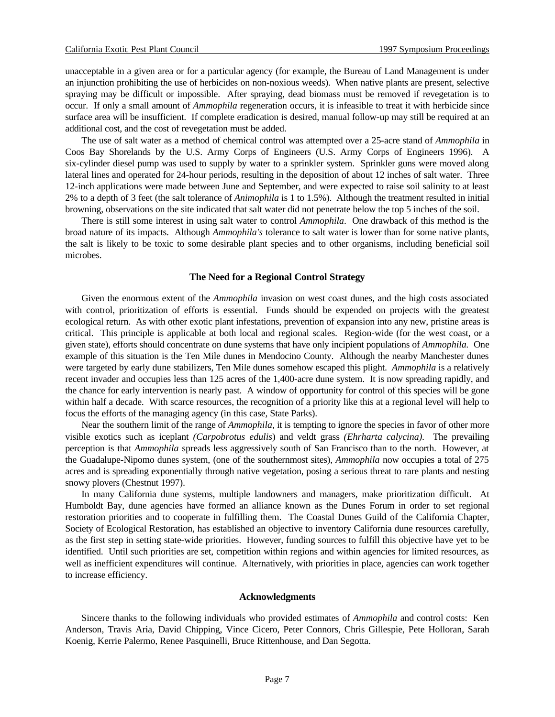unacceptable in a given area or for a particular agency (for example, the Bureau of Land Management is under an injunction prohibiting the use of herbicides on non-noxious weeds). When native plants are present, selective spraying may be difficult or impossible. After spraying, dead biomass must be removed if revegetation is to occur. If only a small amount of *Ammophila* regeneration occurs, it is infeasible to treat it with herbicide since surface area will be insufficient. If complete eradication is desired, manual follow-up may still be required at an additional cost, and the cost of revegetation must be added.

The use of salt water as a method of chemical control was attempted over a 25-acre stand of *Ammophila* in Coos Bay Shorelands by the U.S. Army Corps of Engineers (U.S. Army Corps of Engineers 1996). A six-cylinder diesel pump was used to supply by water to a sprinkler system. Sprinkler guns were moved along lateral lines and operated for 24-hour periods, resulting in the deposition of about 12 inches of salt water. Three 12-inch applications were made between June and September, and were expected to raise soil salinity to at least 2% to a depth of 3 feet (the salt tolerance of *Animophila* is 1 to 1.5%). Although the treatment resulted in initial browning, observations on the site indicated that salt water did not penetrate below the top 5 inches of the soil.

There is still some interest in using salt water to control *Ammophila*. One drawback of this method is the broad nature of its impacts. Although *Ammophila's* tolerance to salt water is lower than for some native plants, the salt is likely to be toxic to some desirable plant species and to other organisms, including beneficial soil microbes.

# **The Need for a Regional Control Strategy**

Given the enormous extent of the *Ammophila* invasion on west coast dunes, and the high costs associated with control, prioritization of efforts is essential. Funds should be expended on projects with the greatest ecological return. As with other exotic plant infestations, prevention of expansion into any new, pristine areas is critical. This principle is applicable at both local and regional scales. Region-wide (for the west coast, or a given state), efforts should concentrate on dune systems that have only incipient populations of *Ammophila.* One example of this situation is the Ten Mile dunes in Mendocino County. Although the nearby Manchester dunes were targeted by early dune stabilizers, Ten Mile dunes somehow escaped this plight. *Ammophila* is a relatively recent invader and occupies less than 125 acres of the 1,400-acre dune system. It is now spreading rapidly, and the chance for early intervention is nearly past. A window of opportunity for control of this species will be gone within half a decade. With scarce resources, the recognition of a priority like this at a regional level will help to focus the efforts of the managing agency (in this case, State Parks).

Near the southern limit of the range of *Ammophila,* it is tempting to ignore the species in favor of other more visible exotics such as iceplant *(Carpobrotus edulis*) and veldt grass *(Ehrharta calycina).* The prevailing perception is that *Ammophila* spreads less aggressively south of San Francisco than to the north. However, at the Guadalupe-Nipomo dunes system, (one of the southernmost sites), *Ammophila* now occupies a total of 275 acres and is spreading exponentially through native vegetation, posing a serious threat to rare plants and nesting snowy plovers (Chestnut 1997).

In many California dune systems, multiple landowners and managers, make prioritization difficult. At Humboldt Bay, dune agencies have formed an alliance known as the Dunes Forum in order to set regional restoration priorities and to cooperate in fulfilling them. The Coastal Dunes Guild of the California Chapter, Society of Ecological Restoration, has established an objective to inventory California dune resources carefully, as the first step in setting state-wide priorities. However, funding sources to fulfill this objective have yet to be identified. Until such priorities are set, competition within regions and within agencies for limited resources, as well as inefficient expenditures will continue. Alternatively, with priorities in place, agencies can work together to increase efficiency.

## **Acknowledgments**

Sincere thanks to the following individuals who provided estimates of *Ammophila* and control costs: Ken Anderson, Travis Aria, David Chipping, Vince Cicero, Peter Connors, Chris Gillespie, Pete Holloran, Sarah Koenig, Kerrie Palermo, Renee Pasquinelli, Bruce Rittenhouse, and Dan Segotta.